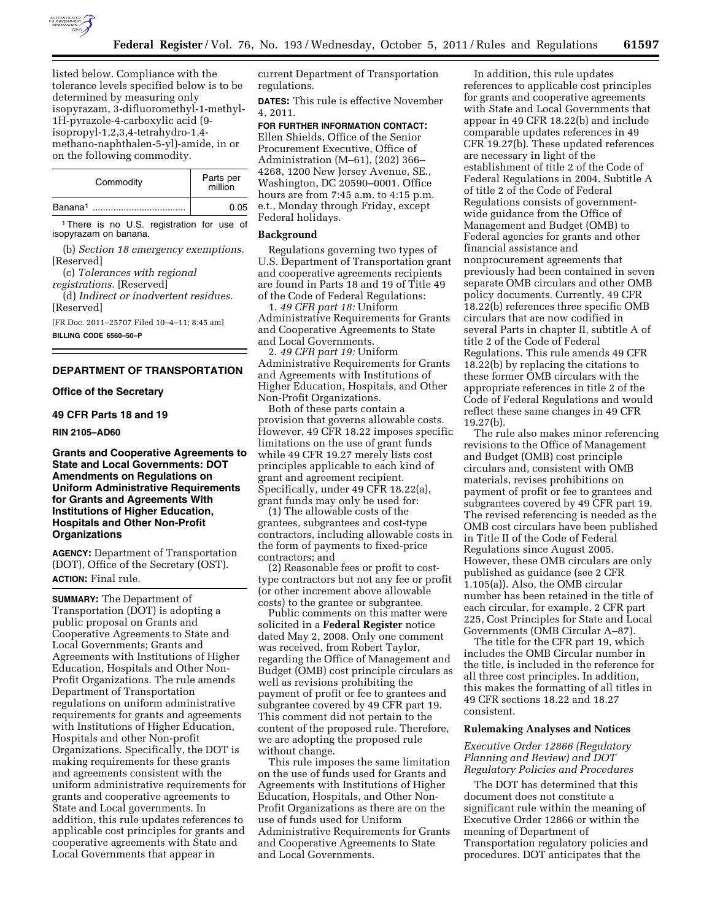

listed below. Compliance with the tolerance levels specified below is to be determined by measuring only isopyrazam, 3-difluoromethyl-1-methyl-1H-pyrazole-4-carboxylic acid (9 isopropyl-1,2,3,4-tetrahydro-1,4 methano-naphthalen-5-yl)-amide, in or on the following commodity.

| Commodity           | Parts per<br>million |
|---------------------|----------------------|
| Banana <sup>1</sup> | 0.05                 |

<sup>1</sup>There is no U.S. registration for use of isopyrazam on banana.

(b) *Section 18 emergency exemptions.*  [Reserved]

(c) *Tolerances with regional registrations.* [Reserved]

(d) *Indirect or inadvertent residues.*  [Reserved]

[FR Doc. 2011–25707 Filed 10–4–11; 8:45 am]

**BILLING CODE 6560–50–P** 

# **DEPARTMENT OF TRANSPORTATION**

## **Office of the Secretary**

# **49 CFR Parts 18 and 19**

**RIN 2105–AD60** 

# **Grants and Cooperative Agreements to State and Local Governments: DOT Amendments on Regulations on Uniform Administrative Requirements for Grants and Agreements With Institutions of Higher Education, Hospitals and Other Non-Profit Organizations**

**AGENCY:** Department of Transportation (DOT), Office of the Secretary (OST). **ACTION:** Final rule.

**SUMMARY:** The Department of Transportation (DOT) is adopting a public proposal on Grants and Cooperative Agreements to State and Local Governments; Grants and Agreements with Institutions of Higher Education, Hospitals and Other Non-Profit Organizations. The rule amends Department of Transportation regulations on uniform administrative requirements for grants and agreements with Institutions of Higher Education, Hospitals and other Non-profit Organizations. Specifically, the DOT is making requirements for these grants and agreements consistent with the uniform administrative requirements for grants and cooperative agreements to State and Local governments. In addition, this rule updates references to applicable cost principles for grants and cooperative agreements with State and Local Governments that appear in

current Department of Transportation regulations.

**DATES:** This rule is effective November 4, 2011.

**FOR FURTHER INFORMATION CONTACT:**  Ellen Shields, Office of the Senior Procurement Executive, Office of Administration (M–61), (202) 366– 4268, 1200 New Jersey Avenue, SE., Washington, DC 20590–0001. Office hours are from 7:45 a.m. to 4:15 p.m. e.t., Monday through Friday, except Federal holidays.

# **Background**

Regulations governing two types of U.S. Department of Transportation grant and cooperative agreements recipients are found in Parts 18 and 19 of Title 49 of the Code of Federal Regulations:

1. *49 CFR part 18:* Uniform Administrative Requirements for Grants and Cooperative Agreements to State and Local Governments.

2. *49 CFR part 19:* Uniform Administrative Requirements for Grants and Agreements with Institutions of Higher Education, Hospitals, and Other Non-Profit Organizations.

Both of these parts contain a provision that governs allowable costs. However, 49 CFR 18.22 imposes specific limitations on the use of grant funds while 49 CFR 19.27 merely lists cost principles applicable to each kind of grant and agreement recipient. Specifically, under 49 CFR 18.22(a), grant funds may only be used for:

(1) The allowable costs of the grantees, subgrantees and cost-type contractors, including allowable costs in the form of payments to fixed-price contractors; and

(2) Reasonable fees or profit to costtype contractors but not any fee or profit (or other increment above allowable costs) to the grantee or subgrantee.

Public comments on this matter were solicited in a **Federal Register** notice dated May 2, 2008. Only one comment was received, from Robert Taylor, regarding the Office of Management and Budget (OMB) cost principle circulars as well as revisions prohibiting the payment of profit or fee to grantees and subgrantee covered by 49 CFR part 19. This comment did not pertain to the content of the proposed rule. Therefore, we are adopting the proposed rule without change.

This rule imposes the same limitation on the use of funds used for Grants and Agreements with Institutions of Higher Education, Hospitals, and Other Non-Profit Organizations as there are on the use of funds used for Uniform Administrative Requirements for Grants and Cooperative Agreements to State and Local Governments.

In addition, this rule updates references to applicable cost principles for grants and cooperative agreements with State and Local Governments that appear in 49 CFR 18.22(b) and include comparable updates references in 49 CFR 19.27(b). These updated references are necessary in light of the establishment of title 2 of the Code of Federal Regulations in 2004. Subtitle A of title 2 of the Code of Federal Regulations consists of governmentwide guidance from the Office of Management and Budget (OMB) to Federal agencies for grants and other financial assistance and nonprocurement agreements that previously had been contained in seven separate OMB circulars and other OMB policy documents. Currently, 49 CFR 18.22(b) references three specific OMB circulars that are now codified in several Parts in chapter II, subtitle A of title 2 of the Code of Federal Regulations. This rule amends 49 CFR 18.22(b) by replacing the citations to these former OMB circulars with the appropriate references in title 2 of the Code of Federal Regulations and would reflect these same changes in 49 CFR 19.27(b).

The rule also makes minor referencing revisions to the Office of Management and Budget (OMB) cost principle circulars and, consistent with OMB materials, revises prohibitions on payment of profit or fee to grantees and subgrantees covered by 49 CFR part 19. The revised referencing is needed as the OMB cost circulars have been published in Title II of the Code of Federal Regulations since August 2005. However, these OMB circulars are only published as guidance (see 2 CFR 1.105(a)). Also, the OMB circular number has been retained in the title of each circular, for example, 2 CFR part 225, Cost Principles for State and Local Governments (OMB Circular A–87).

The title for the CFR part 19, which includes the OMB Circular number in the title, is included in the reference for all three cost principles. In addition, this makes the formatting of all titles in 49 CFR sections 18.22 and 18.27 consistent.

#### **Rulemaking Analyses and Notices**

### *Executive Order 12866 (Regulatory Planning and Review) and DOT Regulatory Policies and Procedures*

The DOT has determined that this document does not constitute a significant rule within the meaning of Executive Order 12866 or within the meaning of Department of Transportation regulatory policies and procedures. DOT anticipates that the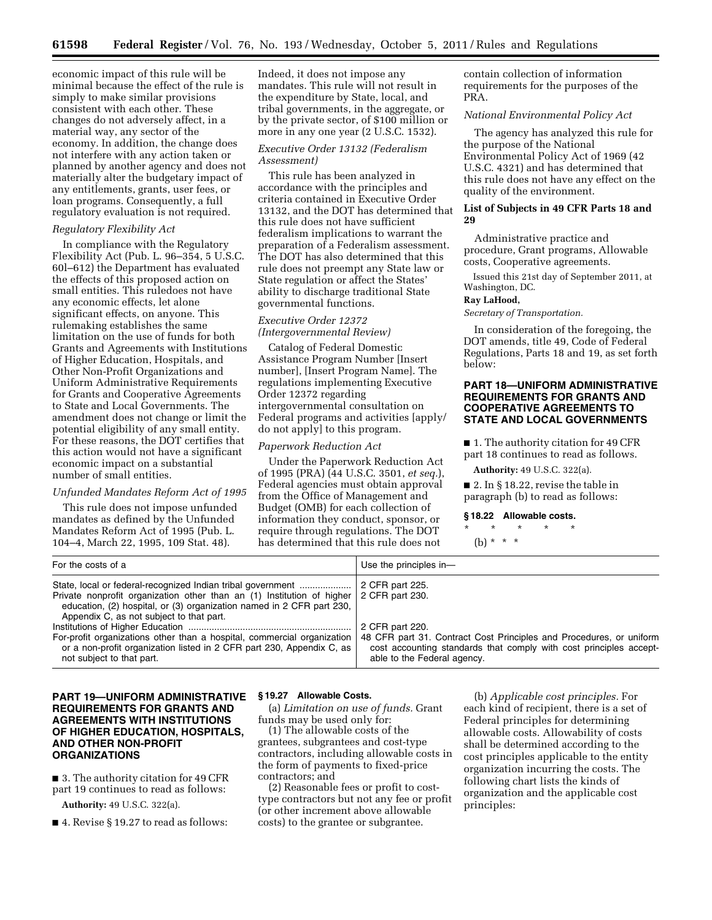economic impact of this rule will be minimal because the effect of the rule is simply to make similar provisions consistent with each other. These changes do not adversely affect, in a material way, any sector of the economy. In addition, the change does not interfere with any action taken or planned by another agency and does not materially alter the budgetary impact of any entitlements, grants, user fees, or loan programs. Consequently, a full regulatory evaluation is not required.

### *Regulatory Flexibility Act*

In compliance with the Regulatory Flexibility Act (Pub. L. 96–354, 5 U.S.C. 60l–612) the Department has evaluated the effects of this proposed action on small entities. This ruledoes not have any economic effects, let alone significant effects, on anyone. This rulemaking establishes the same limitation on the use of funds for both Grants and Agreements with Institutions of Higher Education, Hospitals, and Other Non-Profit Organizations and Uniform Administrative Requirements for Grants and Cooperative Agreements to State and Local Governments. The amendment does not change or limit the potential eligibility of any small entity. For these reasons, the DOT certifies that this action would not have a significant economic impact on a substantial number of small entities.

# *Unfunded Mandates Reform Act of 1995*

This rule does not impose unfunded mandates as defined by the Unfunded Mandates Reform Act of 1995 (Pub. L. 104–4, March 22, 1995, 109 Stat. 48).

Indeed, it does not impose any mandates. This rule will not result in the expenditure by State, local, and tribal governments, in the aggregate, or by the private sector, of \$100 million or more in any one year (2 U.S.C. 1532).

## *Executive Order 13132 (Federalism Assessment)*

This rule has been analyzed in accordance with the principles and criteria contained in Executive Order 13132, and the DOT has determined that this rule does not have sufficient federalism implications to warrant the preparation of a Federalism assessment. The DOT has also determined that this rule does not preempt any State law or State regulation or affect the States' ability to discharge traditional State governmental functions.

## *Executive Order 12372 (Intergovernmental Review)*

Catalog of Federal Domestic Assistance Program Number [Insert number], [Insert Program Name]. The regulations implementing Executive Order 12372 regarding intergovernmental consultation on Federal programs and activities [apply/ do not apply] to this program.

## *Paperwork Reduction Act*

Under the Paperwork Reduction Act of 1995 (PRA) (44 U.S.C. 3501, *et seq.*), Federal agencies must obtain approval from the Office of Management and Budget (OMB) for each collection of information they conduct, sponsor, or require through regulations. The DOT has determined that this rule does not

contain collection of information requirements for the purposes of the PRA.

## *National Environmental Policy Act*

The agency has analyzed this rule for the purpose of the National Environmental Policy Act of 1969 (42 U.S.C. 4321) and has determined that this rule does not have any effect on the quality of the environment.

# **List of Subjects in 49 CFR Parts 18 and 29**

Administrative practice and procedure, Grant programs, Allowable costs, Cooperative agreements.

Issued this 21st day of September 2011, at Washington, DC.

### **Ray LaHood,**

*Secretary of Transportation.* 

In consideration of the foregoing, the DOT amends, title 49, Code of Federal Regulations, Parts 18 and 19, as set forth below:

## **PART 18—UNIFORM ADMINISTRATIVE REQUIREMENTS FOR GRANTS AND COOPERATIVE AGREEMENTS TO STATE AND LOCAL GOVERNMENTS**

■ 1. The authority citation for 49 CFR part 18 continues to read as follows.

**Authority:** 49 U.S.C. 322(a).

■ 2. In § 18.22, revise the table in paragraph (b) to read as follows:

### **§ 18.22 Allowable costs.**

\* \* \* \* \* (b) \* \* \*

| For the costs of a                                                                                                                                                                                                                                                                                                                                                                                                                                          | Use the principles in-                                                                                                                                                                                         |
|-------------------------------------------------------------------------------------------------------------------------------------------------------------------------------------------------------------------------------------------------------------------------------------------------------------------------------------------------------------------------------------------------------------------------------------------------------------|----------------------------------------------------------------------------------------------------------------------------------------------------------------------------------------------------------------|
| State, local or federal-recognized Indian tribal government<br>Private nonprofit organization other than an (1) Institution of higher 2 CFR part 230.<br>education, (2) hospital, or (3) organization named in 2 CFR part 230,<br>Appendix C, as not subject to that part.<br>For-profit organizations other than a hospital, commercial organization<br>or a non-profit organization listed in 2 CFR part 230, Appendix C, as<br>not subject to that part. | 2 CFR part 225.<br>2 CFR part 220.<br>48 CFR part 31. Contract Cost Principles and Procedures, or uniform<br>cost accounting standards that comply with cost principles accept-<br>able to the Federal agency. |

# **PART 19—UNIFORM ADMINISTRATIVE REQUIREMENTS FOR GRANTS AND AGREEMENTS WITH INSTITUTIONS OF HIGHER EDUCATION, HOSPITALS, AND OTHER NON-PROFIT ORGANIZATIONS**

■ 3. The authority citation for 49 CFR part 19 continues to read as follows:

**Authority:** 49 U.S.C. 322(a).

■ 4. Revise § 19.27 to read as follows:

# **§ 19.27 Allowable Costs.**

(a) *Limitation on use of funds.* Grant funds may be used only for:

(1) The allowable costs of the grantees, subgrantees and cost-type contractors, including allowable costs in the form of payments to fixed-price contractors; and

(2) Reasonable fees or profit to costtype contractors but not any fee or profit (or other increment above allowable costs) to the grantee or subgrantee.

(b) *Applicable cost principles.* For each kind of recipient, there is a set of Federal principles for determining allowable costs. Allowability of costs shall be determined according to the cost principles applicable to the entity organization incurring the costs. The following chart lists the kinds of organization and the applicable cost principles: